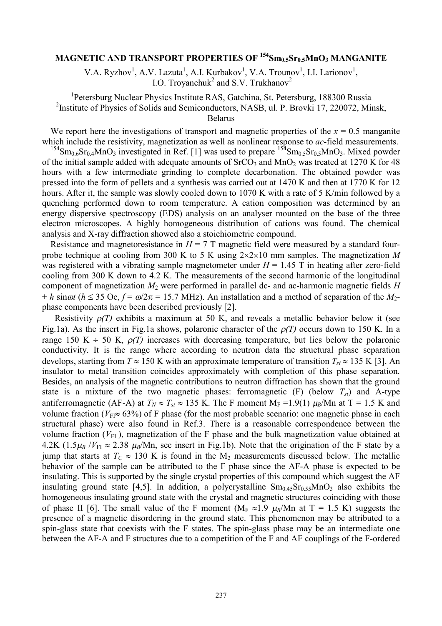## **MAGNETIC AND TRANSPORT PROPERTIES OF <sup>154</sup>Sm0.5Sr0.5MnO<sup>3</sup> MANGANITE**

V.A. Ryzhov<sup>1</sup>, A.V. Lazuta<sup>1</sup>, A.I. Kurbakov<sup>1</sup>, V.A. Trounov<sup>1</sup>, I.I. Larionov<sup>1</sup>, I.O. Troyanchuk<sup>2</sup> and S.V. Trukhanov<sup>2</sup>

<sup>1</sup>Petersburg Nuclear Physics Institute RAS, Gatchina, St. Petersburg, 188300 Russia <sup>2</sup>Institute of Physics of Solids and Semiconductors, NASB, ul. P. Brovki 17, 220072, Minsk,

Belarus

We report here the investigations of transport and magnetic properties of the  $x = 0.5$  manganite which include the resistivity, magnetization as well as nonlinear response to *ac*-field measurements.

<sup>154</sup>Sm<sub>0.6</sub>Sr<sub>0.4</sub>MnO<sub>3</sub> investigated in Ref. [1] was used to prepare  $154$ Sm<sub>0.5</sub>Sr<sub>0.5</sub>MnO<sub>3</sub>. Mixed powder of the initial sample added with adequate amounts of  $SrCO<sub>3</sub>$  and MnO<sub>2</sub> was treated at 1270 K for 48 hours with a few intermediate grinding to complete decarbonation. The obtained powder was pressed into the form of pellets and a synthesis was carried out at 1470 K and then at 1770 K for 12 hours. After it, the sample was slowly cooled down to 1070 K with a rate of 5 K/min followed by a quenching performed down to room temperature. A cation composition was determined by an energy dispersive spectroscopy (EDS) analysis on an analyser mounted on the base of the three electron microscopes. A highly homogeneous distribution of cations was found. The chemical analysis and X-ray diffraction showed also a stoichiometric compound.

Resistance and magnetoresistance in  $H = 7$  T magnetic field were measured by a standard fourprobe technique at cooling from 300 K to 5 K using  $2\times 2\times 10$  mm samples. The magnetization *M* was registered with a vibrating sample magnetometer under  $H = 1.45$  T in heating after zero-field cooling from 300 K down to 4.2 K. The measurements of the second harmonic of the longitudinal component of magnetization *M*<sup>2</sup> were performed in parallel dc- and ac-harmonic magnetic fields *H*   $+ h \sin \omega t$  ( $h \leq 35$  Oe,  $f = \omega/2\pi = 15.7$  MHz). An installation and a method of separation of the *M*<sub>2</sub>phase components have been described previously [2].

Resistivity  $\rho(T)$  exhibits a maximum at 50 K, and reveals a metallic behavior below it (see Fig.1a). As the insert in Fig.1a shows, polaronic character of the  $\rho(T)$  occurs down to 150 K. In a range 150 K  $\div$  50 K,  $\rho(T)$  increases with decreasing temperature, but lies below the polaronic conductivity. It is the range where according to neutron data the structural phase separation develops, starting from  $T \approx 150$  K with an approximate temperature of transition  $T_{st} \approx 135$  K [3]. An insulator to metal transition coincides approximately with completion of this phase separation. Besides, an analysis of the magnetic contributions to neutron diffraction has shown that the ground state is a mixture of the two magnetic phases: ferromagnetic (F) (below *Tst*) and A-type antiferromagnetic (AF-A) at  $T_N \approx T_{st} \approx 135$  K. The F moment M<sub>F</sub> =1.9(1)  $\mu_B$ /Mn at T = 1.5 K and volume fraction ( $V_{\text{FI}} \approx 63\%$ ) of F phase (for the most probable scenario: one magnetic phase in each structural phase) were also found in Ref.3. There is a reasonable correspondence between the volume fraction  $(V_{FI}$ ), magnetization of the F phase and the bulk magnetization value obtained at 4.2K (1.5 $\mu_B$  /*V*<sub>FI</sub>  $\approx$  2.38  $\mu_B$ /Mn, see insert in Fig.1b). Note that the origination of the F state by a jump that starts at  $T_C \approx 130$  K is found in the M<sub>2</sub> measurements discussed below. The metallic behavior of the sample can be attributed to the F phase since the AF-A phase is expected to be insulating. This is supported by the single crystal properties of this compound which suggest the AF insulating ground state [4,5]. In addition, a polycrystalline  $\rm Sm_{0.45}Sr_{0.55}MnO_3$  also exhibits the homogeneous insulating ground state with the crystal and magnetic structures coinciding with those of phase II [6]. The small value of the F moment ( $M_F \approx 1.9 \mu_B/Mn$  at T = 1.5 K) suggests the presence of a magnetic disordering in the ground state. This phenomenon may be attributed to a spin-glass state that coexists with the F states. The spin-glass phase may be an intermediate one between the AF-A and F structures due to a competition of the F and AF couplings of the F-ordered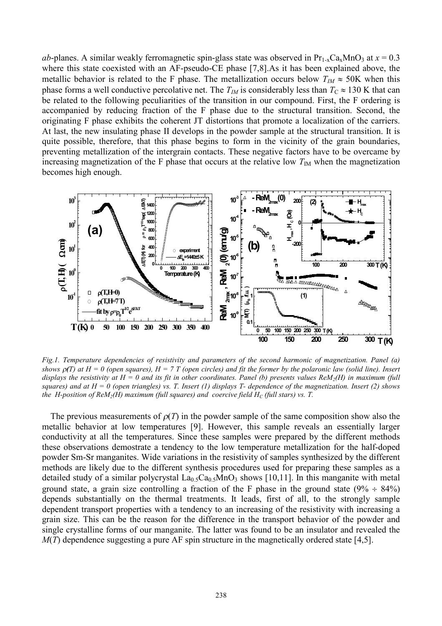*ab*-planes. A similar weakly ferromagnetic spin-glass state was observed in  $Pr_{1-x}Ca_xMnO_3$  at  $x = 0.3$ where this state coexisted with an AF-pseudo-CE phase [7,8].As it has been explained above, the metallic behavior is related to the F phase. The metallization occurs below  $T_M \approx 50$ K when this phase forms a well conductive percolative net. The  $T_M$  is considerably less than  $T_C \approx 130$  K that can be related to the following peculiarities of the transition in our compound. First, the F ordering is accompanied by reducing fraction of the F phase due to the structural transition. Second, the originating F phase exhibits the coherent JT distortions that promote a localization of the carriers. At last, the new insulating phase II develops in the powder sample at the structural transition. It is quite possible, therefore, that this phase begins to form in the vicinity of the grain boundaries, preventing metallization of the intergrain contacts. These negative factors have to be overcame by increasing magnetization of the F phase that occurs at the relative low  $T_{\text{IM}}$  when the magnetization becomes high enough.



*Fig.1. Temperature dependencies of resistivity and parameters of the second harmonic of magnetization. Panel (a)*  shows  $\rho(T)$  at  $H = 0$  (open squares),  $H = 7$  T (open circles) and fit the former by the polaronic law (solid line). Insert displays the resistivity at  $H = 0$  and its fit in other coordinates. Panel (b) presents values  $ReM_2(H)$  in maximum (full squares) and at  $H = 0$  (open triangles) vs. T. Insert (1) displays T- dependence of the magnetization. Insert (2) shows *the H-position of ReM*<sub>2</sub> $(H)$  *maximum (full squares) and coercive field*  $H_C$  *(full stars) vs. T.* 

The previous measurements of  $\rho(T)$  in the powder sample of the same composition show also the metallic behavior at low temperatures [9]. However, this sample reveals an essentially larger conductivity at all the temperatures. Since these samples were prepared by the different methods these observations demostrate a tendency to the low temperature metallization for the half-doped powder Sm-Sr manganites. Wide variations in the resistivity of samples synthesized by the different methods are likely due to the different synthesis procedures used for preparing these samples as a detailed study of a similar polycrystal  $La<sub>0.5</sub>Ca<sub>0.5</sub>MnO<sub>3</sub>$  shows [10,11]. In this manganite with metal ground state, a grain size controlling a fraction of the F phase in the ground state  $(9\% \div 84\%)$ depends substantially on the thermal treatments. It leads, first of all, to the strongly sample dependent transport properties with a tendency to an increasing of the resistivity with increasing a grain size. This can be the reason for the difference in the transport behavior of the powder and single crystalline forms of our manganite. The latter was found to be an insulator and revealed the *M*(*T*) dependence suggesting a pure AF spin structure in the magnetically ordered state [4,5].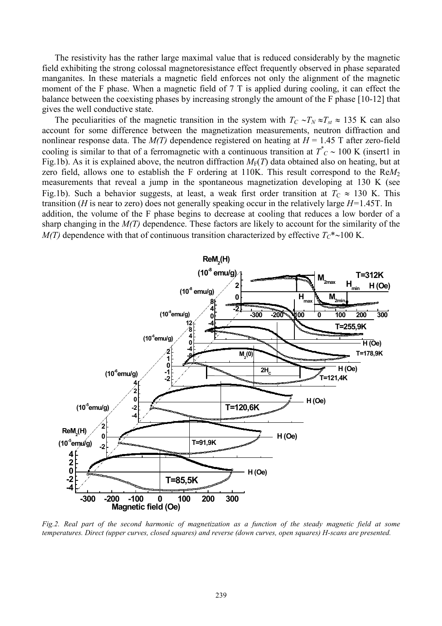The resistivity has the rather large maximal value that is reduced considerably by the magnetic field exhibiting the strong colossal magnetoresistance effect frequently observed in phase separated manganites. In these materials a magnetic field enforces not only the alignment of the magnetic moment of the F phase. When a magnetic field of 7 T is applied during cooling, it can effect the balance between the coexisting phases by increasing strongly the amount of the F phase [10-12] that gives the well conductive state.

The peculiarities of the magnetic transition in the system with  $T_C \sim T_N \approx T_{st} \approx 135$  K can also account for some difference between the magnetization measurements, neutron diffraction and nonlinear response data. The  $M(T)$  dependence registered on heating at  $H = 1.45$  T after zero-field cooling is similar to that of a ferromagnetic with a continuous transition at  $T^*_{C} \sim 100$  K (insert1 in Fig.1b). As it is explained above, the neutron diffraction  $M_F(T)$  data obtained also on heating, but at zero field, allows one to establish the F ordering at 110K. This result correspond to the ReM<sub>2</sub> measurements that reveal a jump in the spontaneous magnetization developing at 130 K (see Fig.1b). Such a behavior suggests, at least, a weak first order transition at  $T_c \approx 130$  K. This transition (*H* is near to zero) does not generally speaking occur in the relatively large *H=*1.45T. In addition, the volume of the F phase begins to decrease at cooling that reduces a low border of a sharp changing in the *M(T)* dependence. These factors are likely to account for the similarity of the *M(T)* dependence with that of continuous transition characterized by effective  $T_c^*$  ~100 K.



Fig.2. Real part of the second harmonic of magnetization as a function of the steady magnetic field at some *temperatures. Direct (upper curves, closed squares) and reverse (down curves, open squares) H-scans are presented.*